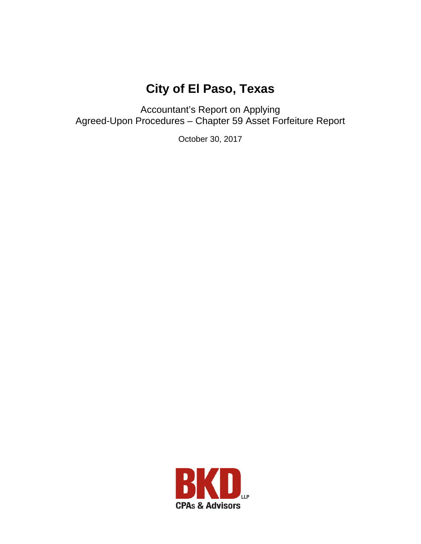# **City of El Paso, Texas**

Accountant's Report on Applying Agreed-Upon Procedures – Chapter 59 Asset Forfeiture Report

October 30, 2017

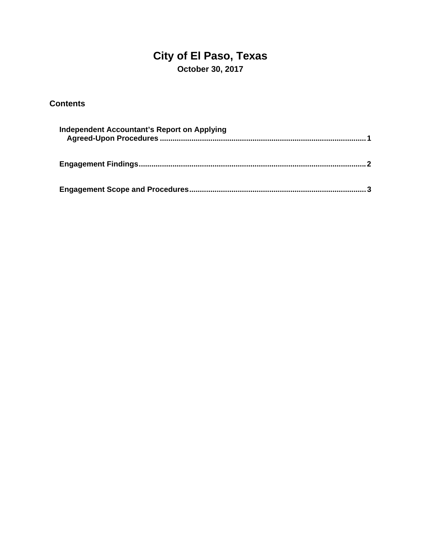# **City of El Paso, Texas October 30, 2017**

### **Contents**

| Independent Accountant's Report on Applying |  |
|---------------------------------------------|--|
|                                             |  |
|                                             |  |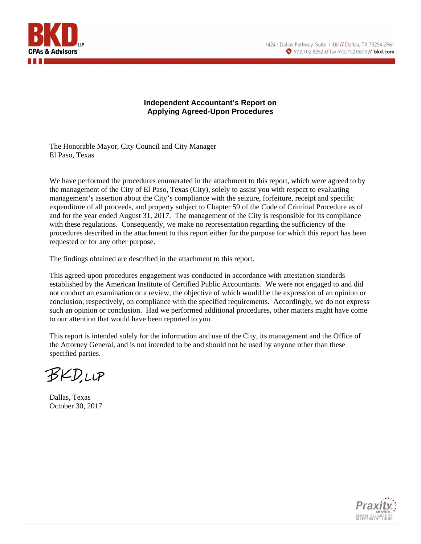



#### **Independent Accountant's Report on Applying Agreed-Upon Procedures**

The Honorable Mayor, City Council and City Manager El Paso, Texas

We have performed the procedures enumerated in the attachment to this report, which were agreed to by the management of the City of El Paso, Texas (City), solely to assist you with respect to evaluating management's assertion about the City's compliance with the seizure, forfeiture, receipt and specific expenditure of all proceeds, and property subject to Chapter 59 of the Code of Criminal Procedure as of and for the year ended August 31, 2017. The management of the City is responsible for its compliance with these regulations. Consequently, we make no representation regarding the sufficiency of the procedures described in the attachment to this report either for the purpose for which this report has been requested or for any other purpose.

The findings obtained are described in the attachment to this report.

This agreed-upon procedures engagement was conducted in accordance with attestation standards established by the American Institute of Certified Public Accountants. We were not engaged to and did not conduct an examination or a review, the objective of which would be the expression of an opinion or conclusion, respectively, on compliance with the specified requirements. Accordingly, we do not express such an opinion or conclusion. Had we performed additional procedures, other matters might have come to our attention that would have been reported to you.

This report is intended solely for the information and use of the City, its management and the Office of the Attorney General, and is not intended to be and should not be used by anyone other than these specified parties.

BKDUP

Dallas, Texas October 30, 2017

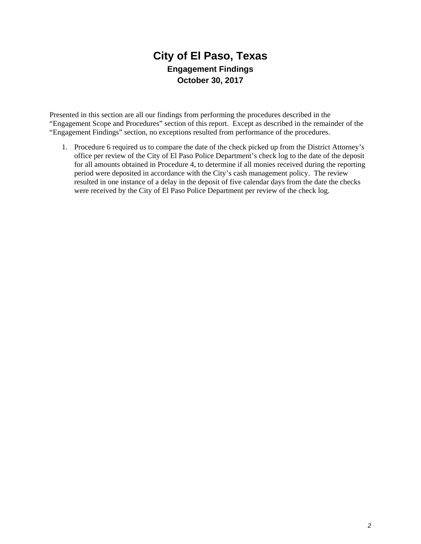# **City of El Paso, Texas Engagement Findings October 30, 2017**

Presented in this section are all our findings from performing the procedures described in the "Engagement Scope and Procedures" section of this report. Except as described in the remainder of the "Engagement Findings" section, no exceptions resulted from performance of the procedures.

1. Procedure 6 required us to compare the date of the check picked up from the District Attorney's office per review of the City of El Paso Police Department's check log to the date of the deposit for all amounts obtained in Procedure 4, to determine if all monies received during the reporting period were deposited in accordance with the City's cash management policy. The review resulted in one instance of a delay in the deposit of five calendar days from the date the checks were received by the City of El Paso Police Department per review of the check log.